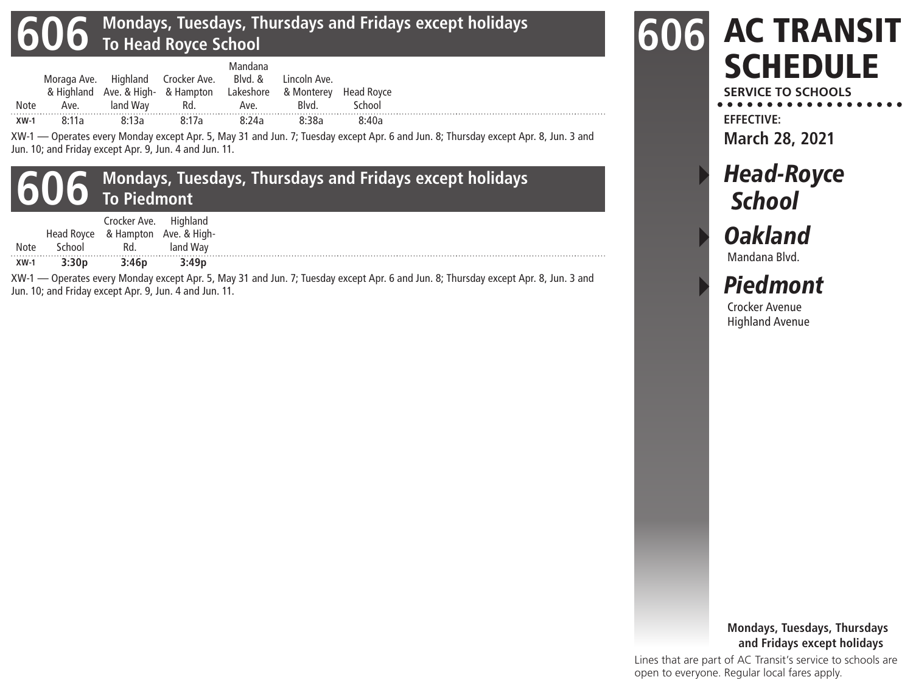## **606 Mondays, Tuesdays, Thursdays and Fridays except holidays To Head Royce School**

| <b>Note</b> | Ave.  | land Wav | Moraga Ave. Highland Crocker Ave. Blvd. & Lincoln Ave.<br>& Highland Ave. & High- & Hampton Lakeshore & Monterey Head Royce<br>Rd. | Mandana<br>Ave. | Blvd. | School |
|-------------|-------|----------|------------------------------------------------------------------------------------------------------------------------------------|-----------------|-------|--------|
| $XW-1$      | 8:11a | 8.13a    | 8:17a                                                                                                                              | 8:24a           | 8:38a | 8:40a  |

XW-1 — Operates every Monday except Apr. 5, May 31 and Jun. 7; Tuesday except Apr. 6 and Jun. 8; Thursday except Apr. 8, Jun. 3 and Jun. 10; and Friday except Apr. 9, Jun. 4 and Jun. 11.

## **606 Mondays, Tuesdays, Thursdays and Fridays except holidays To Piedmont**

|        |            | Crocker Ave. | Highland               |
|--------|------------|--------------|------------------------|
|        | Head Royce |              | & Hampton Ave. & High- |
| Note   | School     | Rd.          | land Way               |
| $XW-1$ | 3:30p      | 3:46p        | 3:49p                  |

XW-1 — Operates every Monday except Apr. 5, May 31 and Jun. 7; Tuesday except Apr. 6 and Jun. 8; Thursday except Apr. 8, Jun. 3 and Jun. 10; and Friday except Apr. 9, Jun. 4 and Jun. 11.



**SERVICE TO SCHOOLS EFFECTIVE:**

**March 28, 2021**

# **Head-Royce School**

Oakland Mandana Blvd.

▸ Piedmont

Crocker Avenue Highland Avenue

#### **Mondays, Tuesdays, Thursdays and Fridays except holidays**

Lines that are part of AC Transit's service to schools are open to everyone. Regular local fares apply.